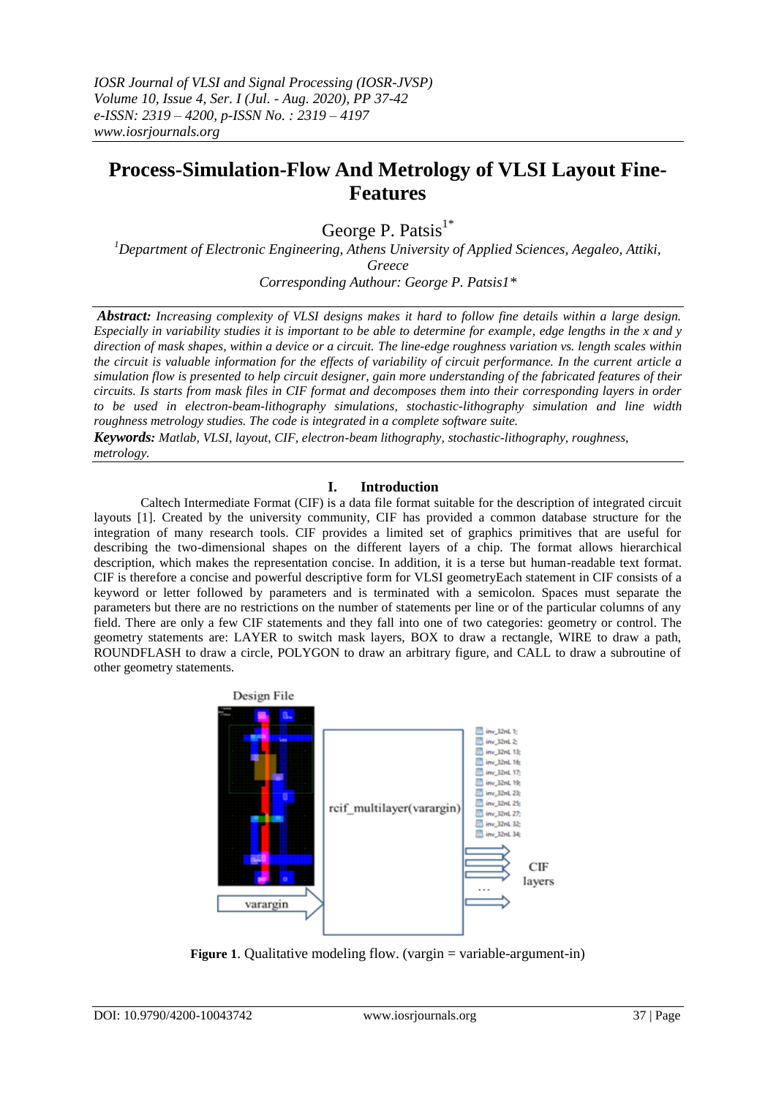# **Process-Simulation-Flow And Metrology of VLSI Layout Fine-Features**

George P. Patsis $1^*$ 

*<sup>1</sup>Department of Electronic Engineering, Athens University of Applied Sciences, Aegaleo, Attiki, Greece Corresponding Authour: George P. Patsis1\**

*Abstract: Increasing complexity of VLSI designs makes it hard to follow fine details within a large design. Especially in variability studies it is important to be able to determine for example, edge lengths in the x and y direction of mask shapes, within a device or a circuit. The line-edge roughness variation vs. length scales within the circuit is valuable information for the effects of variability of circuit performance. In the current article a simulation flow is presented to help circuit designer, gain more understanding of the fabricated features of their circuits. Is starts from mask files in CIF format and decomposes them into their corresponding layers in order to be used in electron-beam-lithography simulations, stochastic-lithography simulation and line width roughness metrology studies. The code is integrated in a complete software suite.*

*Keywords: Matlab, VLSI, layout, CIF, electron-beam lithography, stochastic-lithography, roughness, metrology.*

# **I. Introduction**

Caltech Intermediate Format (CIF) is a data file format suitable for the description of integrated circuit layouts [1]. Created by the university community, CIF has provided a common database structure for the integration of many research tools. CIF provides a limited set of graphics primitives that are useful for describing the two-dimensional shapes on the different layers of a chip. The format allows hierarchical description, which makes the representation concise. In addition, it is a terse but human-readable text format. CIF is therefore a concise and powerful descriptive form for VLSI geometryEach statement in CIF consists of a keyword or letter followed by parameters and is terminated with a semicolon. Spaces must separate the parameters but there are no restrictions on the number of statements per line or of the particular columns of any field. There are only a few CIF statements and they fall into one of two categories: geometry or control. The geometry statements are: LAYER to switch mask layers, BOX to draw a rectangle, WIRE to draw a path, ROUNDFLASH to draw a circle, POLYGON to draw an arbitrary figure, and CALL to draw a subroutine of other geometry statements.



**Figure 1.** Qualitative modeling flow. (vargin = variable-argument-in)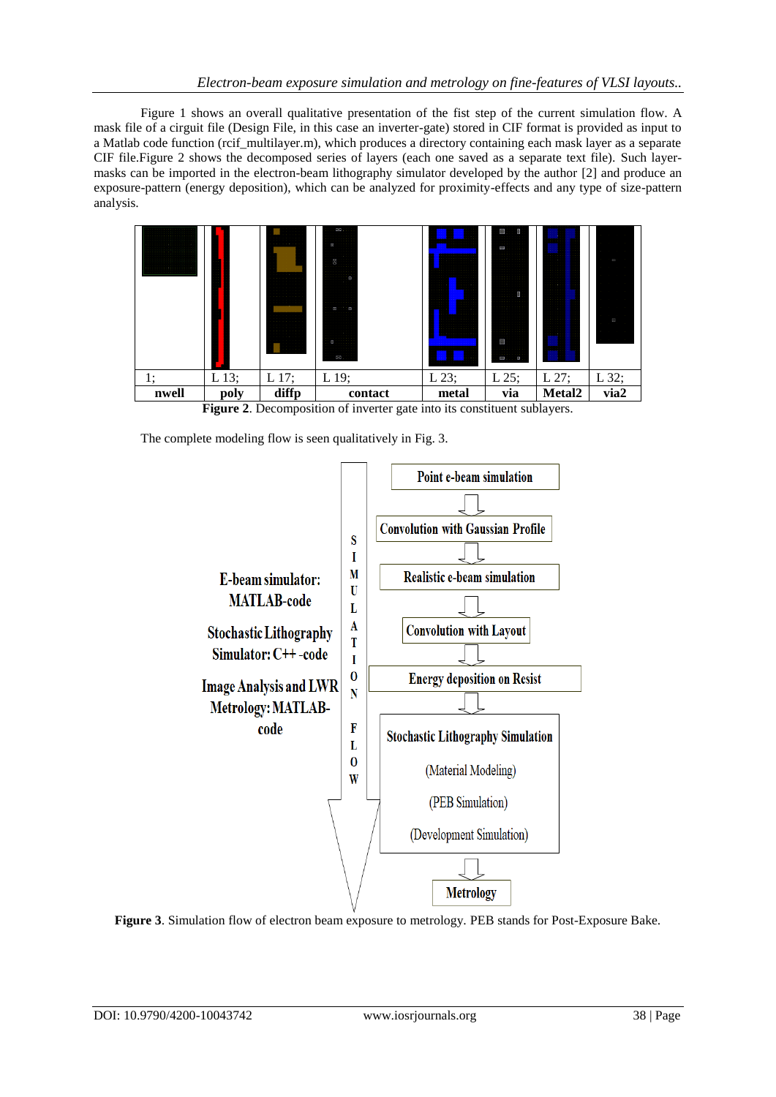Figure 1 shows an overall qualitative presentation of the fist step of the current simulation flow. A mask file of a cirguit file (Design File, in this case an inverter-gate) stored in CIF format is provided as input to a Matlab code function (rcif multilayer.m), which produces a directory containing each mask layer as a separate CIF file.Figure 2 shows the decomposed series of layers (each one saved as a separate text file). Such layermasks can be imported in the electron-beam lithography simulator developed by the author [2] and produce an exposure-pattern (energy deposition), which can be analyzed for proximity-effects and any type of size-pattern analysis.

|       |       |       | Ø.<br>ā<br>X<br>Ø<br><b>BUD</b><br>Ø<br>Ö. |         | W<br><b>COL</b><br>933<br>M |                    | g<br>$\Xi$ |
|-------|-------|-------|--------------------------------------------|---------|-----------------------------|--------------------|------------|
| 1:    | L 13; | L 17; | L 19;                                      | $L$ 23; | $L$ 25;                     | L 27;              | L 32;      |
| nwell | poly  | diffp | contact                                    | metal   | via                         | Metal <sub>2</sub> | via2       |

**Figure 2**. Decomposition of inverter gate into its constituent sublayers.

The complete modeling flow is seen qualitatively in Fig. 3.



**Figure 3**. Simulation flow of electron beam exposure to metrology. PEB stands for Post-Exposure Bake.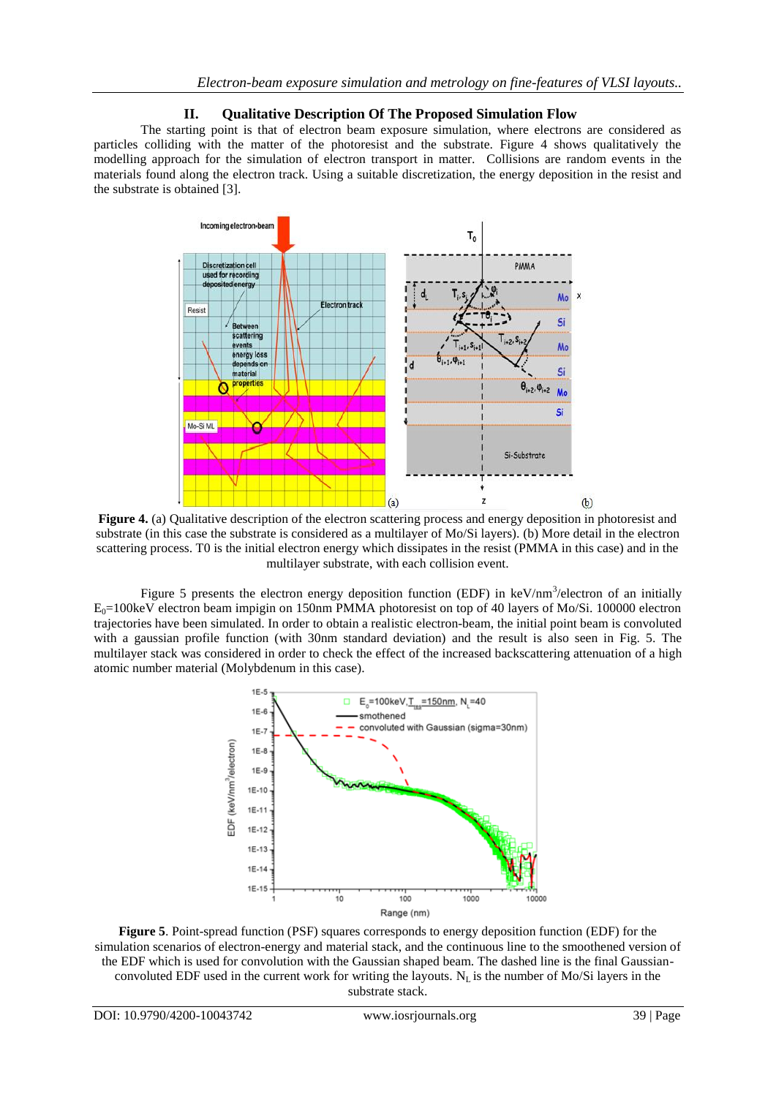### **II. Qualitative Description Of The Proposed Simulation Flow**

The starting point is that of electron beam exposure simulation, where electrons are considered as particles colliding with the matter of the photoresist and the substrate. Figure 4 shows qualitatively the modelling approach for the simulation of electron transport in matter. Collisions are random events in the materials found along the electron track. Using a suitable discretization, the energy deposition in the resist and the substrate is obtained [3].



**Figure 4.** (a) Qualitative description of the electron scattering process and energy deposition in photoresist and substrate (in this case the substrate is considered as a multilayer of Mo/Si layers). (b) More detail in the electron scattering process. T0 is the initial electron energy which dissipates in the resist (PMMA in this case) and in the multilayer substrate, with each collision event.

Figure 5 presents the electron energy deposition function (EDF) in  $keV/nm^3/electron$  of an initially  $E_0$ =100keV electron beam impigin on 150nm PMMA photoresist on top of 40 layers of Mo/Si. 100000 electron trajectories have been simulated. In order to obtain a realistic electron-beam, the initial point beam is convoluted with a gaussian profile function (with 30nm standard deviation) and the result is also seen in Fig. 5. The multilayer stack was considered in order to check the effect of the increased backscattering attenuation of a high atomic number material (Molybdenum in this case).



**Figure 5**. Point-spread function (PSF) squares corresponds to energy deposition function (EDF) for the simulation scenarios of electron-energy and material stack, and the continuous line to the smoothened version of the EDF which is used for convolution with the Gaussian shaped beam. The dashed line is the final Gaussianconvoluted EDF used in the current work for writing the layouts.  $N_L$  is the number of Mo/Si layers in the substrate stack.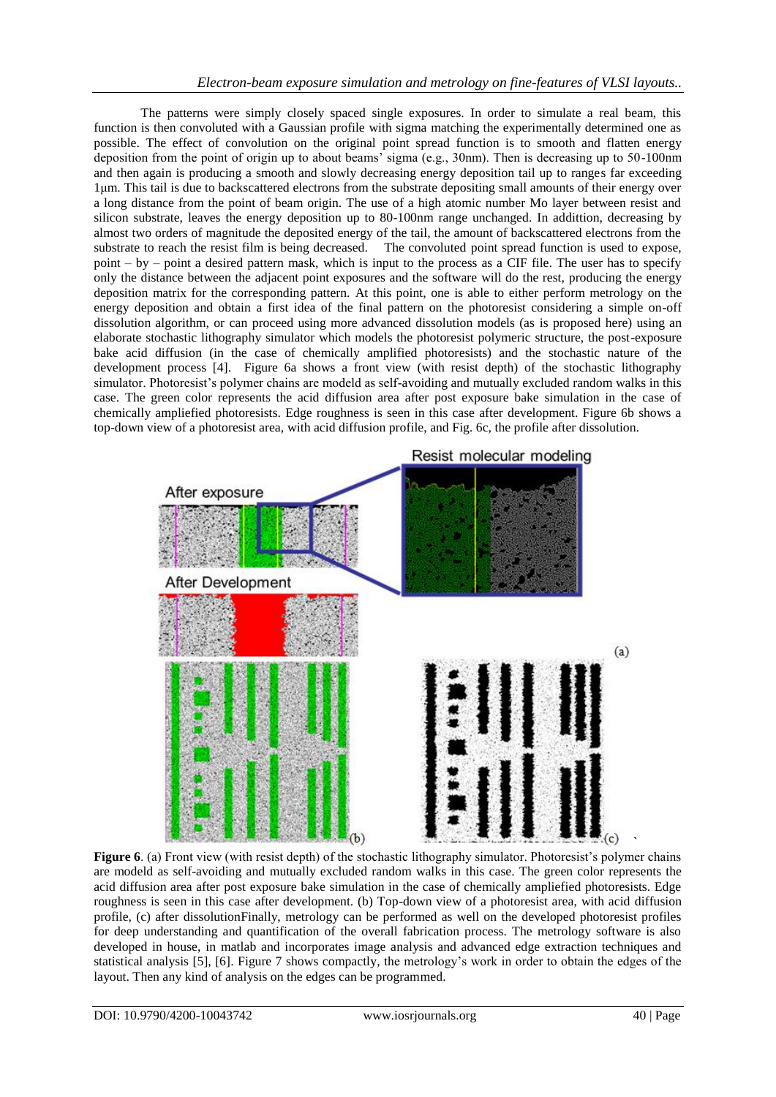The patterns were simply closely spaced single exposures. In order to simulate a real beam, this function is then convoluted with a Gaussian profile with sigma matching the experimentally determined one as possible. The effect of convolution on the original point spread function is to smooth and flatten energy deposition from the point of origin up to about beams' sigma (e.g., 30nm). Then is decreasing up to 50-100nm and then again is producing a smooth and slowly decreasing energy deposition tail up to ranges far exceeding 1μm. This tail is due to backscattered electrons from the substrate depositing small amounts of their energy over a long distance from the point of beam origin. The use of a high atomic number Mo layer between resist and silicon substrate, leaves the energy deposition up to 80-100nm range unchanged. In addittion, decreasing by almost two orders of magnitude the deposited energy of the tail, the amount of backscattered electrons from the substrate to reach the resist film is being decreased. The convoluted point spread function is used to expose, point – by – point a desired pattern mask, which is input to the process as a CIF file. The user has to specify only the distance between the adjacent point exposures and the software will do the rest, producing the energy deposition matrix for the corresponding pattern. At this point, one is able to either perform metrology on the energy deposition and obtain a first idea of the final pattern on the photoresist considering a simple on-off dissolution algorithm, or can proceed using more advanced dissolution models (as is proposed here) using an elaborate stochastic lithography simulator which models the photoresist polymeric structure, the post-exposure bake acid diffusion (in the case of chemically amplified photoresists) and the stochastic nature of the development process [4]. Figure 6a shows a front view (with resist depth) of the stochastic lithography simulator. Photoresist's polymer chains are modeld as self-avoiding and mutually excluded random walks in this case. The green color represents the acid diffusion area after post exposure bake simulation in the case of chemically ampliefied photoresists. Edge roughness is seen in this case after development. Figure 6b shows a top-down view of a photoresist area, with acid diffusion profile, and Fig. 6c, the profile after dissolution.



**Figure 6**. (a) Front view (with resist depth) of the stochastic lithography simulator. Photoresist's polymer chains are modeld as self-avoiding and mutually excluded random walks in this case. The green color represents the acid diffusion area after post exposure bake simulation in the case of chemically ampliefied photoresists. Edge roughness is seen in this case after development. (b) Top-down view of a photoresist area, with acid diffusion profile, (c) after dissolutionFinally, metrology can be performed as well on the developed photoresist profiles for deep understanding and quantification of the overall fabrication process. The metrology software is also developed in house, in matlab and incorporates image analysis and advanced edge extraction techniques and statistical analysis [5], [6]. Figure 7 shows compactly, the metrology's work in order to obtain the edges of the layout. Then any kind of analysis on the edges can be programmed.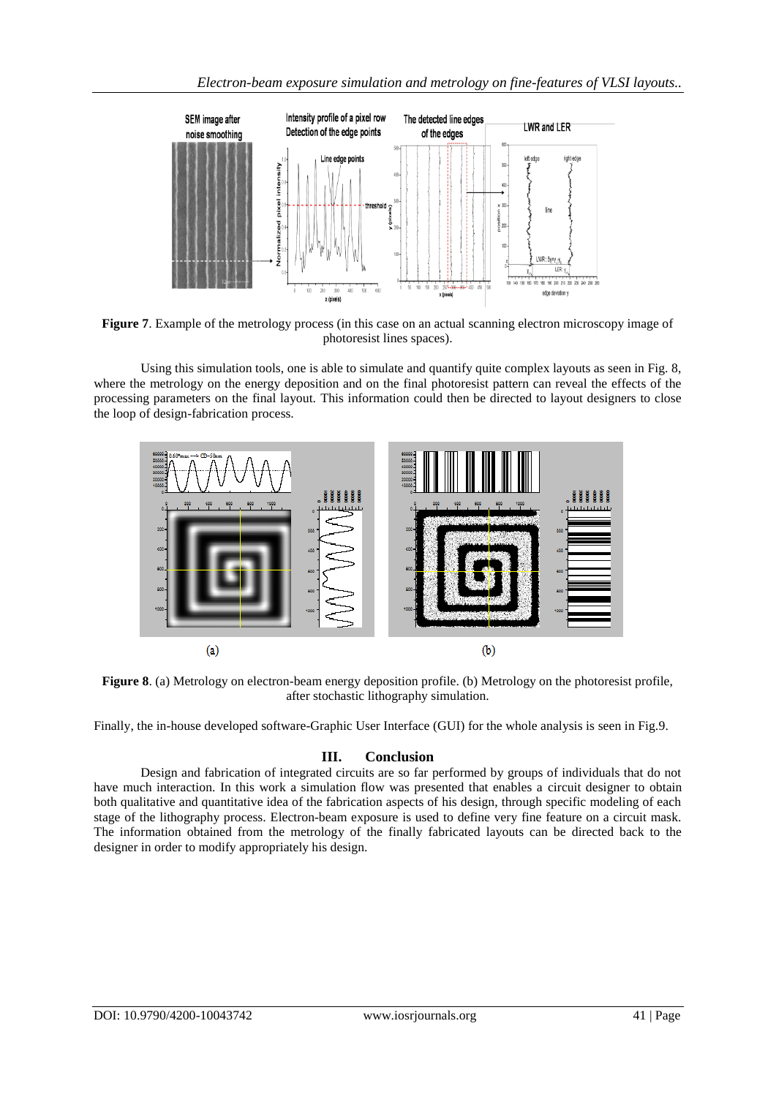

**Figure 7**. Example of the metrology process (in this case on an actual scanning electron microscopy image of photoresist lines spaces).

Using this simulation tools, one is able to simulate and quantify quite complex layouts as seen in Fig. 8, where the metrology on the energy deposition and on the final photoresist pattern can reveal the effects of the processing parameters on the final layout. This information could then be directed to layout designers to close the loop of design-fabrication process.



**Figure 8**. (a) Metrology on electron-beam energy deposition profile. (b) Metrology on the photoresist profile, after stochastic lithography simulation.

Finally, the in-house developed software-Graphic User Interface (GUI) for the whole analysis is seen in Fig.9.

# **III. Conclusion**

Design and fabrication of integrated circuits are so far performed by groups of individuals that do not have much interaction. In this work a simulation flow was presented that enables a circuit designer to obtain both qualitative and quantitative idea of the fabrication aspects of his design, through specific modeling of each stage of the lithography process. Electron-beam exposure is used to define very fine feature on a circuit mask. The information obtained from the metrology of the finally fabricated layouts can be directed back to the designer in order to modify appropriately his design.